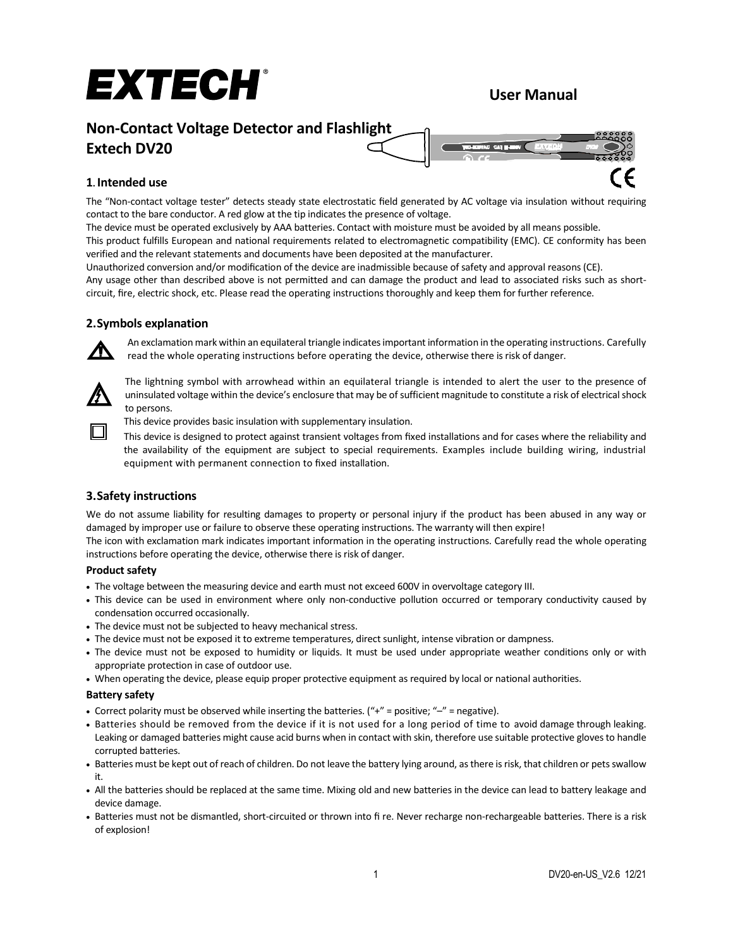# EXTECH®

# **User Manual**

# **Non-Contact Voltage Detector and Flashlight**

# **Extech DV20**



# **1. Intended use**

The "Non-contact voltage tester" detects steady state electrostatic field generated by AC voltage via insulation without requiring contact to the bare conductor. A red glow at the tip indicates the presence of voltage.

The device must be operated exclusively by AAA batteries. Contact with moisture must be avoided by all means possible. This product fulfills European and national requirements related to electromagnetic compatibility (EMC). CE conformity has been

verified and the relevant statements and documents have been deposited at the manufacturer.

Unauthorized conversion and/or modification of the device are inadmissible because of safety and approval reasons (CE).

Any usage other than described above is not permitted and can damage the product and lead to associated risks such as shortcircuit, fire, electric shock, etc. Please read the operating instructions thoroughly and keep them for further reference.

# **2.Symbols explanation**



An exclamation mark within an equilateral triangle indicates important information in the operating instructions. Carefully read the whole operating instructions before operating the device, otherwise there is risk of danger.



The lightning symbol with arrowhead within an equilateral triangle is intended to alert the user to the presence of uninsulated voltage within the device's enclosure that may be of sufficient magnitude to constitute a risk of electrical shock to persons.

This device provides basic insulation with supplementary insulation.

This device is designed to protect against transient voltages from fixed installations and for cases where the reliability and the availability of the equipment are subject to special requirements. Examples include building wiring, industrial equipment with permanent connection to fixed installation.

# **3.Safety instructions**

We do not assume liability for resulting damages to property or personal injury if the product has been abused in any way or damaged by improper use or failure to observe these operating instructions. The warranty will then expire!

The icon with exclamation mark indicates important information in the operating instructions. Carefully read the whole operating instructions before operating the device, otherwise there is risk of danger.

# **Product safety**

- The voltage between the measuring device and earth must not exceed 600V in overvoltage category III.
- This device can be used in environment where only non-conductive pollution occurred or temporary conductivity caused by condensation occurred occasionally.
- The device must not be subjected to heavy mechanical stress.
- The device must not be exposed it to extreme temperatures, direct sunlight, intense vibration or dampness.
- The device must not be exposed to humidity or liquids. It must be used under appropriate weather conditions only or with appropriate protection in case of outdoor use.
- When operating the device, please equip proper protective equipment as required by local or national authorities.

# **Battery safety**

- Correct polarity must be observed while inserting the batteries.  $(4 + \gamma^2)$  = positive;  $4 \gamma^2$  = negative).
- Batteries should be removed from the device if it is not used for a long period of time to avoid damage through leaking. Leaking or damaged batteries might cause acid burns when in contact with skin, therefore use suitable protective gloves to handle corrupted batteries.
- Batteries must be kept out of reach of children. Do not leave the battery lying around, as there is risk, that children or pets swallow it.
- All the batteries should be replaced at the same time. Mixing old and new batteries in the device can lead to battery leakage and device damage.
- Batteries must not be dismantled, short-circuited or thrown into fi re. Never recharge non-rechargeable batteries. There is a risk of explosion!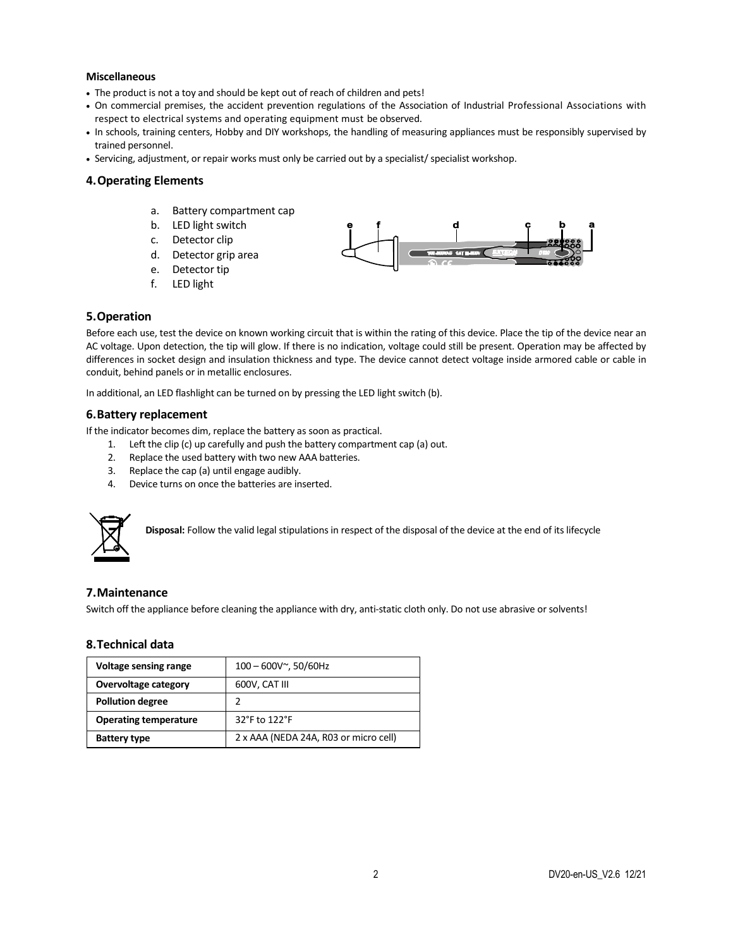#### **Miscellaneous**

- The product is not a toy and should be kept out of reach of children and pets!
- On commercial premises, the accident prevention regulations of the Association of Industrial Professional Associations with respect to electrical systems and operating equipment must be observed.
- In schools, training centers, Hobby and DIY workshops, the handling of measuring appliances must be responsibly supervised by trained personnel.
- Servicing, adjustment, or repair works must only be carried out by a specialist/ specialist workshop.

# **4.Operating Elements**

- a. Battery compartment cap
- b. LED light switch
- c. Detector clip
- d. Detector grip area
- e. Detector tip
- f. LED light



#### **5.Operation**

Before each use, test the device on known working circuit that is within the rating of this device. Place the tip of the device near an AC voltage. Upon detection, the tip will glow. If there is no indication, voltage could still be present. Operation may be affected by differences in socket design and insulation thickness and type. The device cannot detect voltage inside armored cable or cable in conduit, behind panels or in metallic enclosures.

In additional, an LED flashlight can be turned on by pressing the LED light switch (b).

### **6.Battery replacement**

If the indicator becomes dim, replace the battery as soon as practical.

- 1. Left the clip (c) up carefully and push the battery compartment cap (a) out.
- 2. Replace the used battery with two new AAA batteries.
- 3. Replace the cap (a) until engage audibly.
- 4. Device turns on once the batteries are inserted.



**Disposal:** Follow the valid legal stipulations in respect of the disposal of the device at the end of its lifecycle

#### **7.Maintenance**

Switch off the appliance before cleaning the appliance with dry, anti-static cloth only. Do not use abrasive or solvents!

#### **8.Technical data**

| <b>Voltage sensing range</b> | $100 - 600V^{\sim}$ , 50/60Hz         |
|------------------------------|---------------------------------------|
| Overvoltage category         | 600V, CAT III                         |
| <b>Pollution degree</b>      |                                       |
| <b>Operating temperature</b> | 32°F to 122°F                         |
| <b>Battery type</b>          | 2 x AAA (NEDA 24A, R03 or micro cell) |